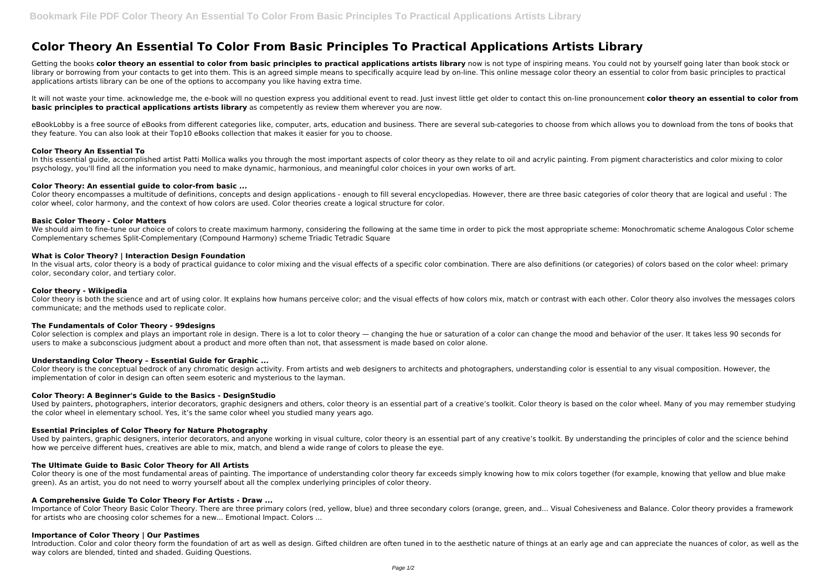# **Color Theory An Essential To Color From Basic Principles To Practical Applications Artists Library**

Getting the books color theory an essential to color from basic principles to practical applications artists library now is not type of inspiring means. You could not by yourself going later than book stock or library or borrowing from your contacts to get into them. This is an agreed simple means to specifically acquire lead by on-line. This online message color theory an essential to color from basic principles to practical applications artists library can be one of the options to accompany you like having extra time.

eBookLobby is a free source of eBooks from different categories like, computer, arts, education and business. There are several sub-categories to choose from which allows you to download from the tons of books that they feature. You can also look at their Top10 eBooks collection that makes it easier for you to choose.

In this essential guide, accomplished artist Patti Mollica walks you through the most important aspects of color theory as they relate to oil and acrylic painting. From pigment characteristics and color mixing to color psychology, you'll find all the information you need to make dynamic, harmonious, and meaningful color choices in your own works of art.

It will not waste your time. acknowledge me, the e-book will no question express you additional event to read. Just invest little get older to contact this on-line pronouncement **color theory an essential to color from basic principles to practical applications artists library** as competently as review them wherever you are now.

Color theory encompasses a multitude of definitions, concepts and design applications - enough to fill several encyclopedias. However, there are three basic categories of color theory that are logical and useful : The color wheel, color harmony, and the context of how colors are used. Color theories create a logical structure for color.

We should aim to fine-tune our choice of colors to create maximum harmony, considering the following at the same time in order to pick the most appropriate scheme: Monochromatic scheme Analogous Color scheme Complementary schemes Split-Complementary (Compound Harmony) scheme Triadic Tetradic Square

# **Color Theory An Essential To**

In the visual arts, color theory is a body of practical guidance to color mixing and the visual effects of a specific color combination. There are also definitions (or categories) of colors based on the color wheel: primar color, secondary color, and tertiary color.

Color theory is both the science and art of using color. It explains how humans perceive color; and the visual effects of how colors mix, match or contrast with each other. Color theory also involves the messages colors communicate; and the methods used to replicate color.

Color selection is complex and plays an important role in design. There is a lot to color theory — changing the hue or saturation of a color can change the mood and behavior of the user. It takes less 90 seconds for users to make a subconscious judgment about a product and more often than not, that assessment is made based on color alone.

#### **Color Theory: An essential guide to color-from basic ...**

Used by painters, photographers, interior decorators, graphic designers and others, color theory is an essential part of a creative's toolkit. Color theory is based on the color wheel. Many of you may remember studying the color wheel in elementary school. Yes, it's the same color wheel you studied many years ago.

#### **Basic Color Theory - Color Matters**

Used by painters, graphic designers, interior decorators, and anyone working in visual culture, color theory is an essential part of any creative's toolkit. By understanding the principles of color and the science behind how we perceive different hues, creatives are able to mix, match, and blend a wide range of colors to please the eye.

#### **What is Color Theory? | Interaction Design Foundation**

Importance of Color Theory Basic Color Theory. There are three primary colors (red, yellow, blue) and three secondary colors (orange, green, and... Visual Cohesiveness and Balance. Color theory provides a framework for artists who are choosing color schemes for a new... Emotional Impact. Colors ...

#### **Color theory - Wikipedia**

Introduction. Color and color theory form the foundation of art as well as design. Gifted children are often tuned in to the aesthetic nature of things at an early age and can appreciate the nuances of color, as well as th way colors are blended, tinted and shaded. Guiding Questions.

# **The Fundamentals of Color Theory - 99designs**

# **Understanding Color Theory – Essential Guide for Graphic ...**

Color theory is the conceptual bedrock of any chromatic design activity. From artists and web designers to architects and photographers, understanding color is essential to any visual composition. However, the implementation of color in design can often seem esoteric and mysterious to the layman.

# **Color Theory: A Beginner's Guide to the Basics - DesignStudio**

# **Essential Principles of Color Theory for Nature Photography**

# **The Ultimate Guide to Basic Color Theory for All Artists**

Color theory is one of the most fundamental areas of painting. The importance of understanding color theory far exceeds simply knowing how to mix colors together (for example, knowing that yellow and blue make green). As an artist, you do not need to worry yourself about all the complex underlying principles of color theory.

# **A Comprehensive Guide To Color Theory For Artists - Draw ...**

#### **Importance of Color Theory | Our Pastimes**